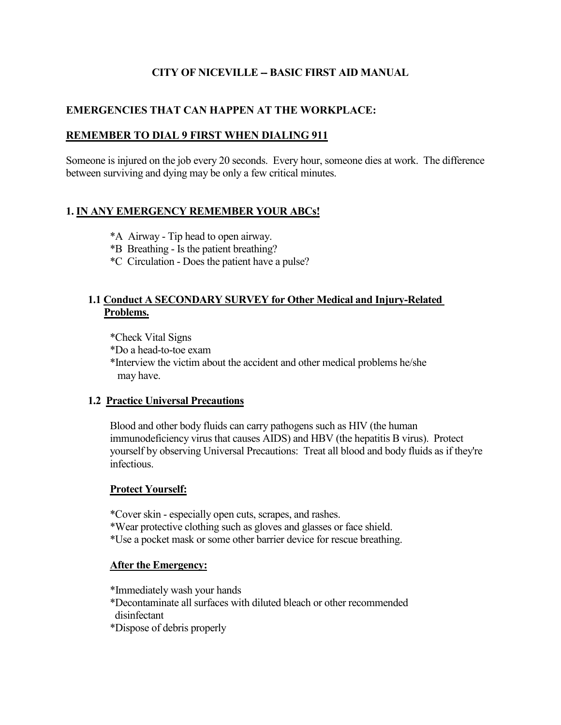# **CITY OF NICEVILLE -- BASIC FIRST AID MANUAL**

# **EMERGENCIES THAT CAN HAPPEN AT THE WORKPLACE:**

## **REMEMBER TO DIAL 9 FIRST WHEN DIALING 911**

Someone is injured on the job every 20 seconds. Every hour, someone dies at work. The difference between surviving and dying may be only a few critical minutes.

# **1. IN ANY EMERGENCY REMEMBER YOUR ABCs!**

- \*A Airway Tip head to open airway.
- \*B Breathing Is the patient breathing?
- \*C Circulation Does the patient have a pulse?

## **1.1 Conduct A SECONDARY SURVEY for Other Medical and Injury-Related Problems.**

\*Check Vital Signs

\*Do a head-to-toe exam

 \*Interview the victim about the accident and other medical problems he/she may have.

## **1.2 Practice Universal Precautions**

Blood and other body fluids can carry pathogens such as HIV (the human immunodeficiency virus that causes AIDS) and HBV (the hepatitis B virus). Protect yourself by observing Universal Precautions: Treat all blood and body fluids as if they're infectious.

## **Protect Yourself:**

\*Cover skin - especially open cuts, scrapes, and rashes.

\*Wear protective clothing such as gloves and glasses or face shield.

\*Use a pocket mask or some other barrier device for rescue breathing.

## **After the Emergency:**

\*Immediately wash your hands

- \*Decontaminate all surfaces with diluted bleach or other recommended disinfectant
- \*Dispose of debris properly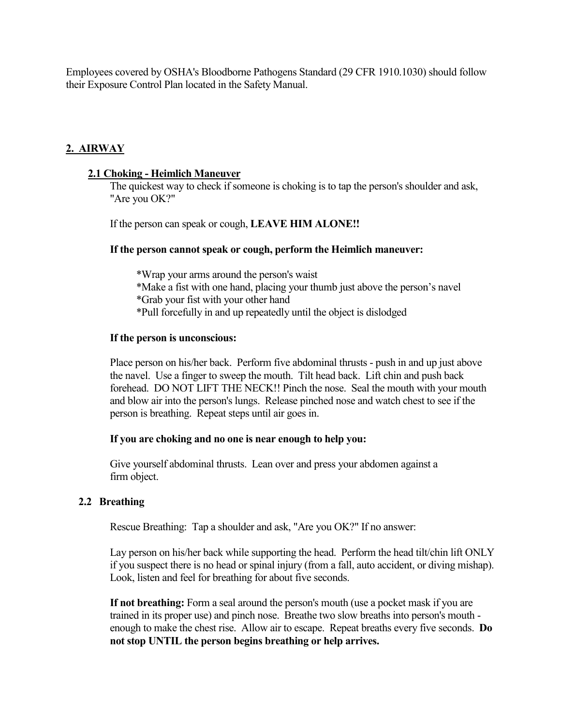Employees covered by OSHA's Bloodborne Pathogens Standard (29 CFR 1910.1030) should follow their Exposure Control Plan located in the Safety Manual.

# **2. AIRWAY**

## **2.1 Choking - Heimlich Maneuver**

The quickest way to check if someone is choking is to tap the person's shoulder and ask, "Are you OK?"

If the person can speak or cough, **LEAVE HIM ALONE!!** 

### **If the person cannot speak or cough, perform the Heimlich maneuver:**

 \*Wrap your arms around the person's waist \*Make a fist with one hand, placing your thumb just above the person's navel \*Grab your fist with your other hand \*Pull forcefully in and up repeatedly until the object is dislodged

### **If the person is unconscious:**

Place person on his/her back. Perform five abdominal thrusts - push in and up just above the navel. Use a finger to sweep the mouth. Tilt head back. Lift chin and push back forehead. DO NOT LIFT THE NECK!! Pinch the nose. Seal the mouth with your mouth and blow air into the person's lungs. Release pinched nose and watch chest to see if the person is breathing. Repeat steps until air goes in.

#### **If you are choking and no one is near enough to help you:**

 Give yourself abdominal thrusts. Lean over and press your abdomen against a firm object.

## **2.2 Breathing**

Rescue Breathing: Tap a shoulder and ask, "Are you OK?" If no answer:

Lay person on his/her back while supporting the head. Perform the head tilt/chin lift ONLY if you suspect there is no head or spinal injury (from a fall, auto accident, or diving mishap). Look, listen and feel for breathing for about five seconds.

**If not breathing:** Form a seal around the person's mouth (use a pocket mask if you are trained in its proper use) and pinch nose. Breathe two slow breaths into person's mouth enough to make the chest rise. Allow air to escape. Repeat breaths every five seconds. **Do not stop UNTIL the person begins breathing or help arrives.**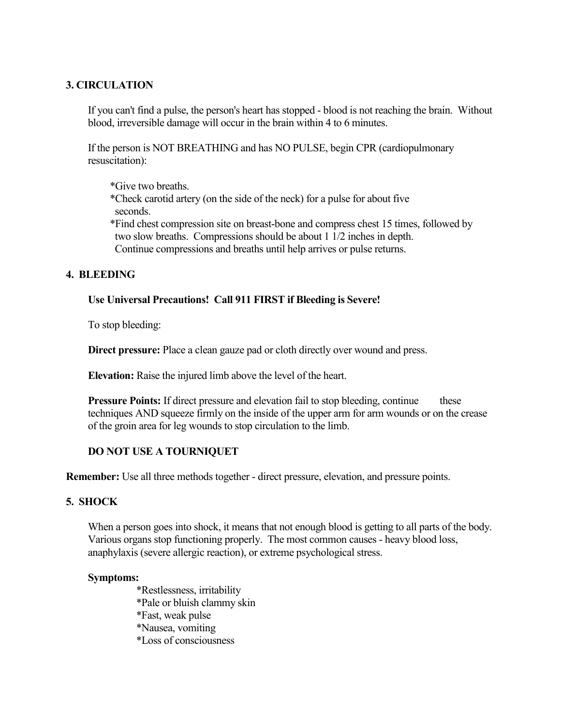# **3. CIRCULATION**

If you can't find a pulse, the person's heart has stopped - blood is not reaching the brain. Without blood, irreversible damage will occur in the brain within 4 to 6 minutes.

If the person is NOT BREATHING and has NO PULSE, begin CPR (cardiopulmonary resuscitation):

- \*Give two breaths.
- \*Check carotid artery (on the side of the neck) for a pulse for about five seconds.
- \*Find chest compression site on breast-bone and compress chest 15 times, followed by two slow breaths. Compressions should be about 1 1/2 inches in depth. Continue compressions and breaths until help arrives or pulse returns.

# **4. BLEEDING**

## **Use Universal Precautions! Call 911 FIRST if Bleeding is Severe!**

To stop bleeding:

**Direct pressure:** Place a clean gauze pad or cloth directly over wound and press.

**Elevation:** Raise the injured limb above the level of the heart.

**Pressure Points:** If direct pressure and elevation fail to stop bleeding, continue these techniques AND squeeze firmly on the inside of the upper arm for arm wounds or on the crease of the groin area for leg wounds to stop circulation to the limb.

# **DO NOT USE A TOURNIQUET**

**Remember:** Use all three methods together - direct pressure, elevation, and pressure points.

# **5. SHOCK**

When a person goes into shock, it means that not enough blood is getting to all parts of the body. Various organs stop functioning properly. The most common causes - heavy blood loss, anaphylaxis (severe allergic reaction), or extreme psychological stress.

## **Symptoms:**

 \*Restlessness, irritability \*Pale or bluish clammy skin \*Fast, weak pulse \*Nausea, vomiting \*Loss of consciousness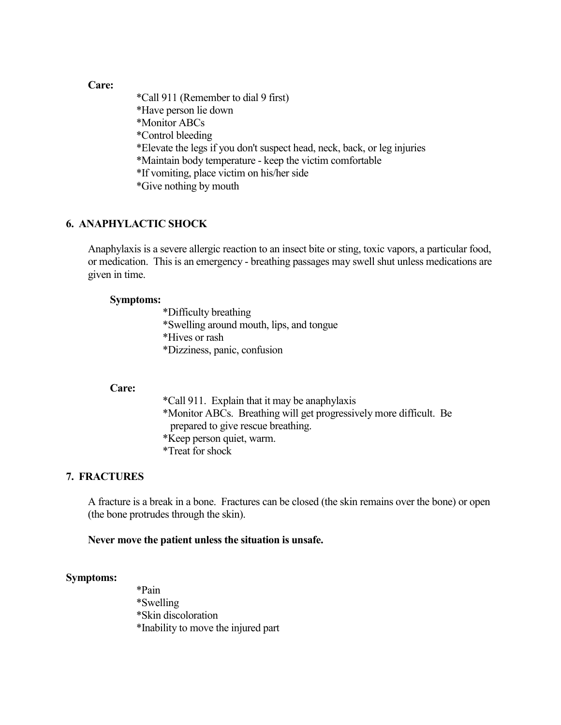### **Care:**

 \*Call 911 (Remember to dial 9 first) \*Have person lie down \*Monitor ABCs \*Control bleeding \*Elevate the legs if you don't suspect head, neck, back, or leg injuries \*Maintain body temperature - keep the victim comfortable \*If vomiting, place victim on his/her side \*Give nothing by mouth

## **6. ANAPHYLACTIC SHOCK**

Anaphylaxis is a severe allergic reaction to an insect bite or sting, toxic vapors, a particular food, or medication. This is an emergency - breathing passages may swell shut unless medications are given in time.

#### **Symptoms:**

 \*Difficulty breathing \*Swelling around mouth, lips, and tongue \*Hives or rash \*Dizziness, panic, confusion

#### **Care:**

 \*Call 911. Explain that it may be anaphylaxis \*Monitor ABCs. Breathing will get progressively more difficult. Be prepared to give rescue breathing. \*Keep person quiet, warm. \*Treat for shock

#### **7. FRACTURES**

A fracture is a break in a bone. Fractures can be closed (the skin remains over the bone) or open (the bone protrudes through the skin).

#### **Never move the patient unless the situation is unsafe.**

#### **Symptoms:**

 \*Pain \*Swelling \*Skin discoloration \*Inability to move the injured part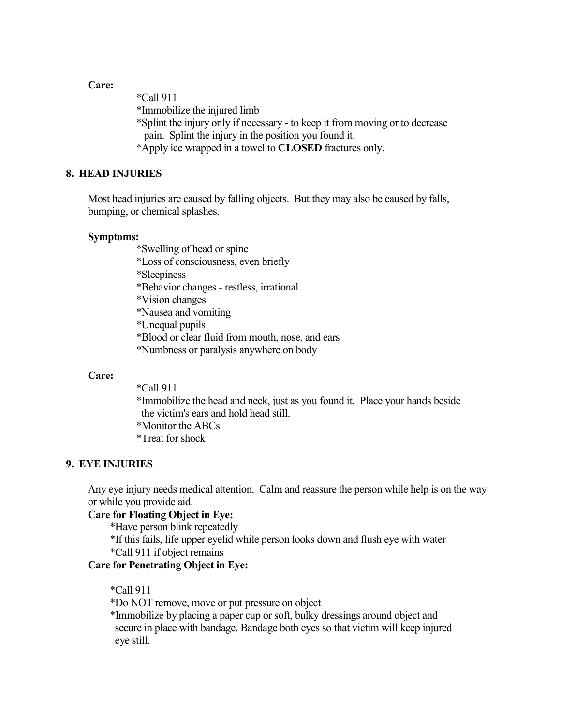**Care:**

\*Call 911

\*Immobilize the injured limb

- \*Splint the injury only if necessary to keep it from moving or to decrease pain. Splint the injury in the position you found it.
- \*Apply ice wrapped in a towel to **CLOSED** fractures only.

## **8. HEAD INJURIES**

 Most head injuries are caused by falling objects. But they may also be caused by falls, bumping, or chemical splashes.

#### **Symptoms:**

\*Swelling of head or spine

\*Loss of consciousness, even briefly

\*Sleepiness

\*Behavior changes - restless, irrational

\*Vision changes

\*Nausea and vomiting

\*Unequal pupils

\*Blood or clear fluid from mouth, nose, and ears

\*Numbness or paralysis anywhere on body

#### **Care:**

\*Call 911

 \*Immobilize the head and neck, just as you found it. Place your hands beside the victim's ears and hold head still. \*Monitor the ABCs \*Treat for shock

### **9. EYE INJURIES**

Any eye injury needs medical attention. Calm and reassure the person while help is on the way or while you provide aid.

### **Care for Floating Object in Eye:**

\*Have person blink repeatedly

 \*If this fails, life upper eyelid while person looks down and flush eye with water \*Call 911 if object remains

### **Care for Penetrating Object in Eye:**

\*Call 911

\*Do NOT remove, move or put pressure on object

 \*Immobilize by placing a paper cup or soft, bulky dressings around object and secure in place with bandage. Bandage both eyes so that victim will keep injured eye still.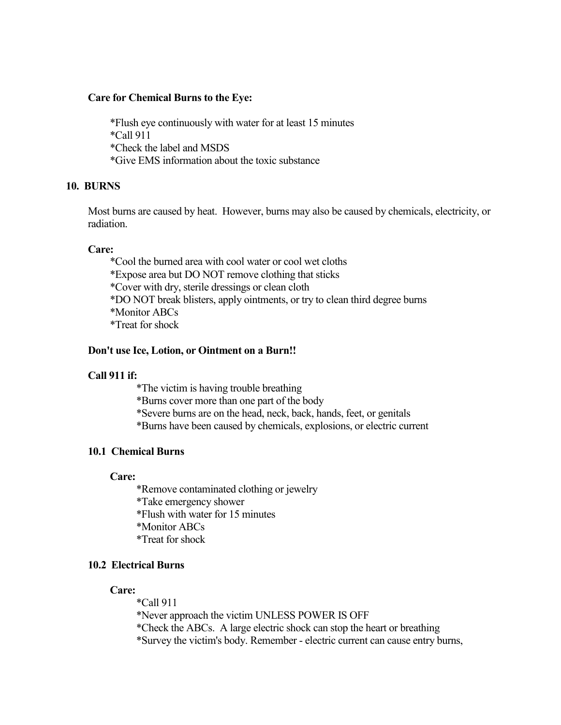### **Care for Chemical Burns to the Eye:**

 \*Flush eye continuously with water for at least 15 minutes \*Call 911 \*Check the label and MSDS \*Give EMS information about the toxic substance

## **10. BURNS**

Most burns are caused by heat. However, burns may also be caused by chemicals, electricity, or radiation.

#### **Care:**

 \*Cool the burned area with cool water or cool wet cloths \*Expose area but DO NOT remove clothing that sticks \*Cover with dry, sterile dressings or clean cloth \*DO NOT break blisters, apply ointments, or try to clean third degree burns \*Monitor ABCs \*Treat for shock

### **Don't use Ice, Lotion, or Ointment on a Burn!!**

## **Call 911 if:**

 \*The victim is having trouble breathing \*Burns cover more than one part of the body \*Severe burns are on the head, neck, back, hands, feet, or genitals \*Burns have been caused by chemicals, explosions, or electric current

## **10.1 Chemical Burns**

**Care:**

 \*Remove contaminated clothing or jewelry \*Take emergency shower \*Flush with water for 15 minutes \*Monitor ABCs \*Treat for shock

## **10.2 Electrical Burns**

**Care:**

\*Call 911

 \*Never approach the victim UNLESS POWER IS OFF \*Check the ABCs. A large electric shock can stop the heart or breathing \*Survey the victim's body. Remember - electric current can cause entry burns,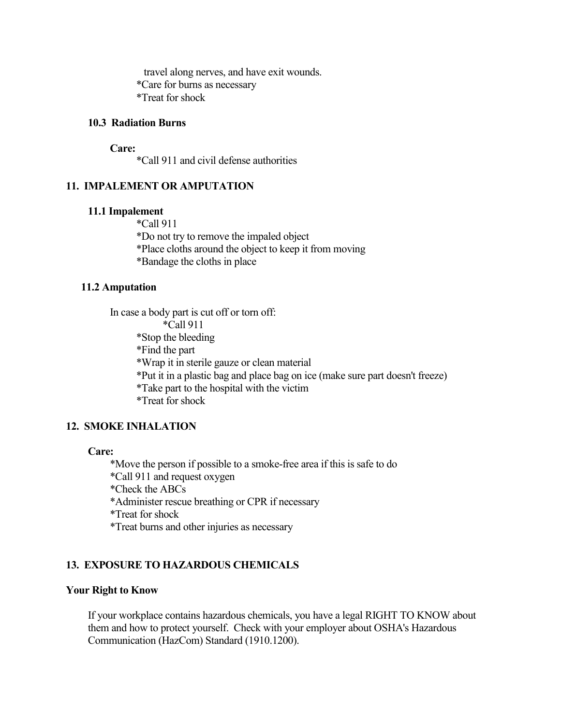travel along nerves, and have exit wounds. \*Care for burns as necessary \*Treat for shock

## **10.3 Radiation Burns**

#### **Care:**

\*Call 911 and civil defense authorities

## **11. IMPALEMENT OR AMPUTATION**

### **11.1 Impalement**

 \*Call 911 \*Do not try to remove the impaled object \*Place cloths around the object to keep it from moving \*Bandage the cloths in place

#### **11.2 Amputation**

 In case a body part is cut off or torn off: \*Call 911 \*Stop the bleeding \*Find the part \*Wrap it in sterile gauze or clean material \*Put it in a plastic bag and place bag on ice (make sure part doesn't freeze) \*Take part to the hospital with the victim \*Treat for shock

## **12. SMOKE INHALATION**

### **Care:**

 \*Move the person if possible to a smoke-free area if this is safe to do \*Call 911 and request oxygen \*Check the ABCs \*Administer rescue breathing or CPR if necessary \*Treat for shock \*Treat burns and other injuries as necessary

# **13. EXPOSURE TO HAZARDOUS CHEMICALS**

### **Your Right to Know**

If your workplace contains hazardous chemicals, you have a legal RIGHT TO KNOW about them and how to protect yourself. Check with your employer about OSHA's Hazardous Communication (HazCom) Standard (1910.1200).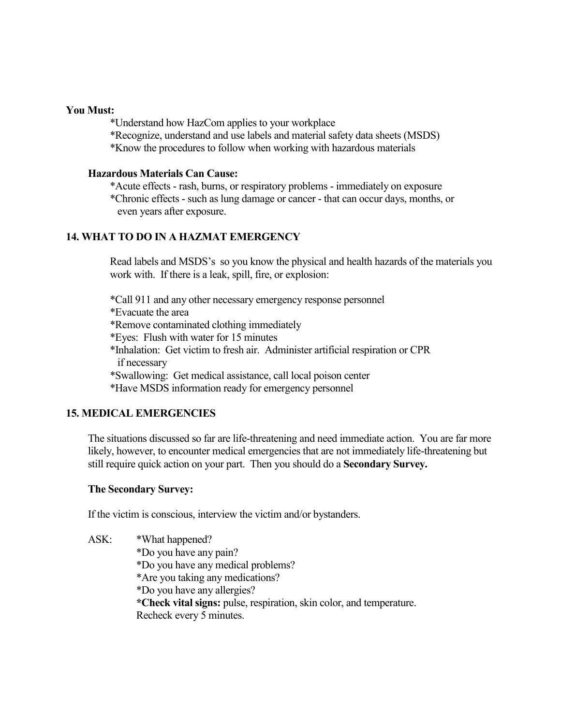### **You Must:**

\*Understand how HazCom applies to your workplace

\*Recognize, understand and use labels and material safety data sheets (MSDS)

\*Know the procedures to follow when working with hazardous materials

## **Hazardous Materials Can Cause:**

\*Acute effects - rash, burns, or respiratory problems - immediately on exposure

 \*Chronic effects - such as lung damage or cancer - that can occur days, months, or even years after exposure.

# **14. WHAT TO DO IN A HAZMAT EMERGENCY**

Read labels and MSDS's so you know the physical and health hazards of the materials you work with. If there is a leak, spill, fire, or explosion:

\*Call 911 and any other necessary emergency response personnel

\*Evacuate the area

\*Remove contaminated clothing immediately

\*Eyes: Flush with water for 15 minutes

 \*Inhalation: Get victim to fresh air. Administer artificial respiration or CPR if necessary

\*Swallowing: Get medical assistance, call local poison center

\*Have MSDS information ready for emergency personnel

# **15. MEDICAL EMERGENCIES**

The situations discussed so far are life-threatening and need immediate action. You are far more likely, however, to encounter medical emergencies that are not immediately life-threatening but still require quick action on your part. Then you should do a **Secondary Survey.**

## **The Secondary Survey:**

If the victim is conscious, interview the victim and/or bystanders.

 ASK: \*What happened? \*Do you have any pain? \*Do you have any medical problems? \*Are you taking any medications? \*Do you have any allergies? **\*Check vital signs:** pulse, respiration, skin color, and temperature. Recheck every 5 minutes.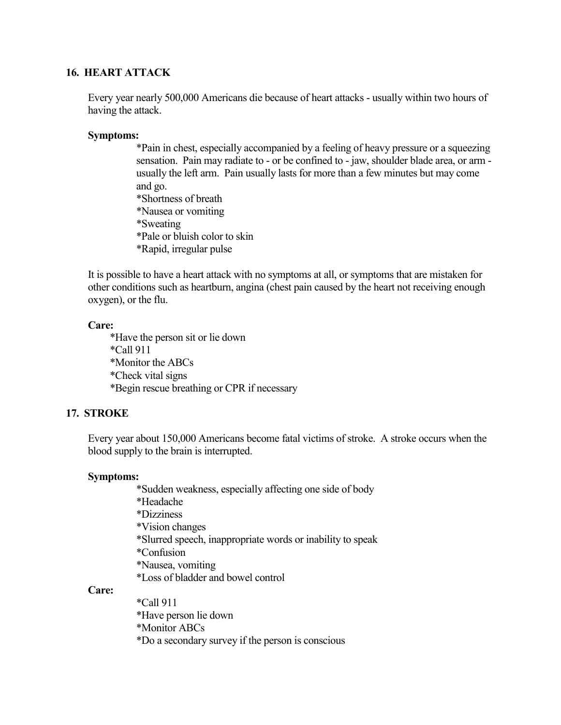### **16. HEART ATTACK**

Every year nearly 500,000 Americans die because of heart attacks - usually within two hours of having the attack.

#### **Symptoms:**

\*Pain in chest, especially accompanied by a feeling of heavy pressure or a squeezing sensation. Pain may radiate to - or be confined to - jaw, shoulder blade area, or arm usually the left arm. Pain usually lasts for more than a few minutes but may come and go. \*Shortness of breath \*Nausea or vomiting

- 
- \*Sweating
- \*Pale or bluish color to skin
- \*Rapid, irregular pulse

It is possible to have a heart attack with no symptoms at all, or symptoms that are mistaken for other conditions such as heartburn, angina (chest pain caused by the heart not receiving enough oxygen), or the flu.

### **Care:**

 \*Have the person sit or lie down \*Call 911 \*Monitor the ABCs \*Check vital signs \*Begin rescue breathing or CPR if necessary

## **17. STROKE**

Every year about 150,000 Americans become fatal victims of stroke. A stroke occurs when the blood supply to the brain is interrupted.

## **Symptoms:**

 \*Sudden weakness, especially affecting one side of body \*Headache \*Dizziness \*Vision changes \*Slurred speech, inappropriate words or inability to speak \*Confusion \*Nausea, vomiting \*Loss of bladder and bowel control

#### **Care:**

 \*Call 911 \*Have person lie down \*Monitor ABCs \*Do a secondary survey if the person is conscious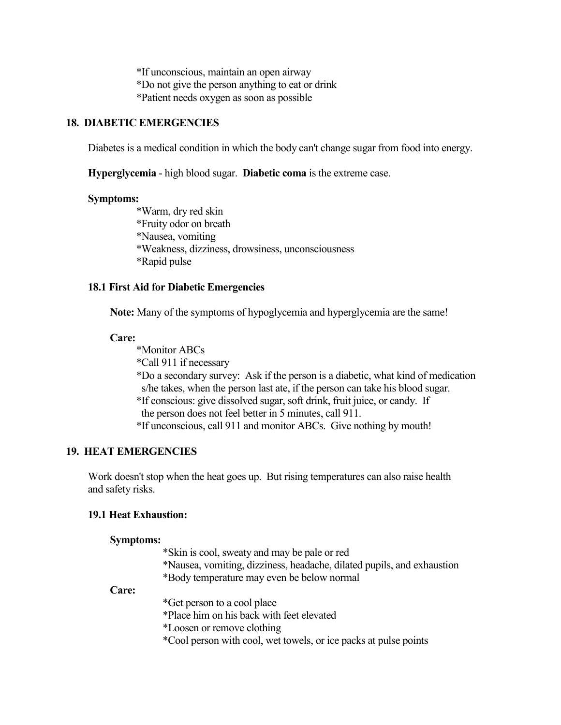\*If unconscious, maintain an open airway \*Do not give the person anything to eat or drink \*Patient needs oxygen as soon as possible

## **18. DIABETIC EMERGENCIES**

Diabetes is a medical condition in which the body can't change sugar from food into energy.

**Hyperglycemia** - high blood sugar. **Diabetic coma** is the extreme case.

#### **Symptoms:**

 \*Warm, dry red skin \*Fruity odor on breath \*Nausea, vomiting \*Weakness, dizziness, drowsiness, unconsciousness \*Rapid pulse

## **18.1 First Aid for Diabetic Emergencies**

**Note:** Many of the symptoms of hypoglycemia and hyperglycemia are the same!

### **Care:**

 \*Monitor ABCs \*Call 911 if necessary \*Do a secondary survey: Ask if the person is a diabetic, what kind of medication s/he takes, when the person last ate, if the person can take his blood sugar. \*If conscious: give dissolved sugar, soft drink, fruit juice, or candy. If the person does not feel better in 5 minutes, call 911. \*If unconscious, call 911 and monitor ABCs. Give nothing by mouth!

## **19. HEAT EMERGENCIES**

 Work doesn't stop when the heat goes up. But rising temperatures can also raise health and safety risks.

#### **19.1 Heat Exhaustion:**

#### **Symptoms:**

 \*Skin is cool, sweaty and may be pale or red \*Nausea, vomiting, dizziness, headache, dilated pupils, and exhaustion \*Body temperature may even be below normal

### **Care:**

\*Get person to a cool place

\*Place him on his back with feet elevated

\*Loosen or remove clothing

\*Cool person with cool, wet towels, or ice packs at pulse points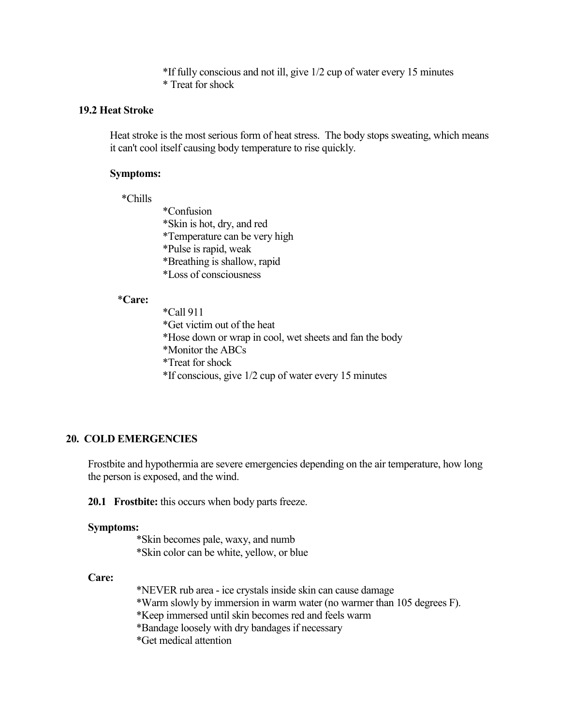\*If fully conscious and not ill, give 1/2 cup of water every 15 minutes \* Treat for shock

#### **19.2 Heat Stroke**

Heat stroke is the most serious form of heat stress. The body stops sweating, which means it can't cool itself causing body temperature to rise quickly.

#### **Symptoms:**

\*Chills

 \*Confusion \*Skin is hot, dry, and red \*Temperature can be very high \*Pulse is rapid, weak \*Breathing is shallow, rapid \*Loss of consciousness

## \***Care:**

 \*Call 911 \*Get victim out of the heat \*Hose down or wrap in cool, wet sheets and fan the body \*Monitor the ABCs \*Treat for shock \*If conscious, give 1/2 cup of water every 15 minutes

## **20. COLD EMERGENCIES**

Frostbite and hypothermia are severe emergencies depending on the air temperature, how long the person is exposed, and the wind.

**20.1 Frostbite:** this occurs when body parts freeze.

#### **Symptoms:**

 \*Skin becomes pale, waxy, and numb \*Skin color can be white, yellow, or blue

#### **Care:**

 \*NEVER rub area - ice crystals inside skin can cause damage \*Warm slowly by immersion in warm water (no warmer than 105 degrees F). \*Keep immersed until skin becomes red and feels warm \*Bandage loosely with dry bandages if necessary \*Get medical attention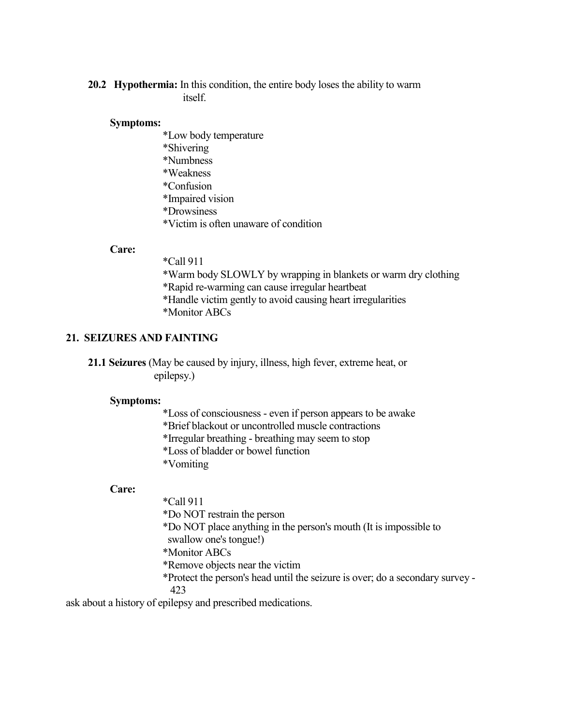## **20.2 Hypothermia:** In this condition, the entire body loses the ability to warm itself.

#### **Symptoms:**

 \*Low body temperature \*Shivering \*Numbness \*Weakness \*Confusion \*Impaired vision \*Drowsiness \*Victim is often unaware of condition

### **Care:**

 \*Call 911 \*Warm body SLOWLY by wrapping in blankets or warm dry clothing \*Rapid re-warming can cause irregular heartbeat \*Handle victim gently to avoid causing heart irregularities \*Monitor ABCs

## **21. SEIZURES AND FAINTING**

**21.1 Seizures** (May be caused by injury, illness, high fever, extreme heat, or epilepsy.)

#### **Symptoms:**

\*Loss of consciousness - even if person appears to be awake

\*Brief blackout or uncontrolled muscle contractions

\*Irregular breathing - breathing may seem to stop

\*Loss of bladder or bowel function

\*Vomiting

### **Care:**

\*Call 911

\*Do NOT restrain the person

\*Do NOT place anything in the person's mouth (It is impossible to

swallow one's tongue!)

\*Monitor ABCs

\*Remove objects near the victim

\*Protect the person's head until the seizure is over; do a secondary survey -

423

ask about a history of epilepsy and prescribed medications.